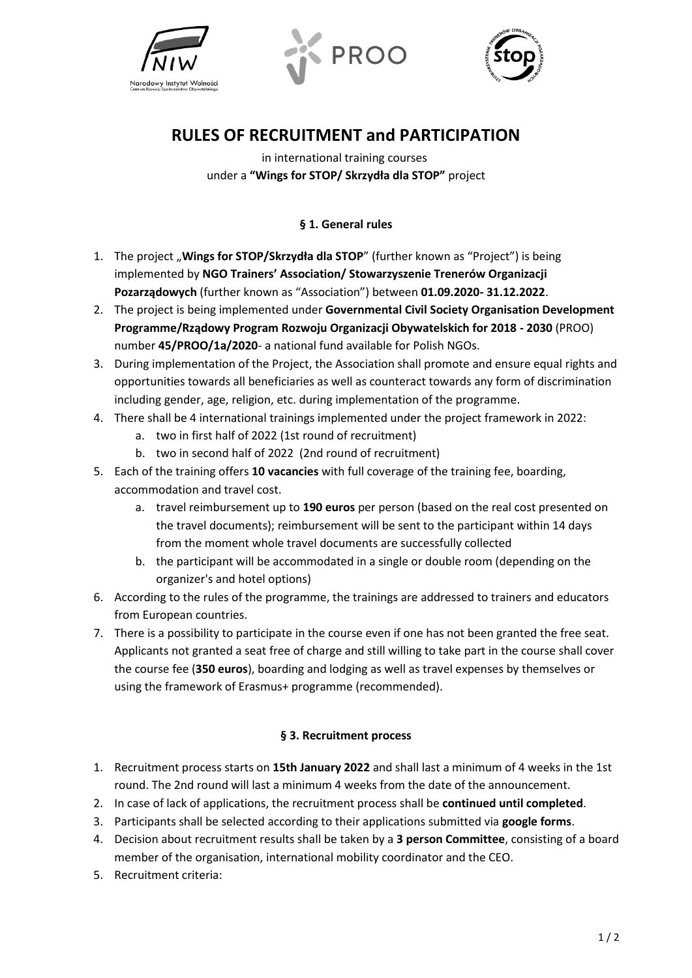





## **RULES OF RECRUITMENT and PARTICIPATION**

in international training courses under a **"Wings for STOP/ Skrzydła dla STOP"** project

## **§ 1. General rules**

- 1. The project "**Wings for STOP/Skrzydła dla STOP**" (further known as "Project") is being implemented by **NGO Trainers' Association/ Stowarzyszenie Trenerów Organizacji Pozarządowych** (further known as "Association") between **01.09.2020- 31.12.2022**.
- 2. The project is being implemented under **Governmental Civil Society Organisation Development Programme/Rządowy Program Rozwoju Organizacji Obywatelskich for 2018 - 2030** (PROO) number **45/PROO/1a/2020**- a national fund available for Polish NGOs.
- 3. During implementation of the Project, the Association shall promote and ensure equal rights and opportunities towards all beneficiaries as well as counteract towards any form of discrimination including gender, age, religion, etc. during implementation of the programme.
- 4. There shall be 4 international trainings implemented under the project framework in 2022:
	- a. two in first half of 2022 (1st round of recruitment)
	- b. two in second half of 2022 (2nd round of recruitment)
- 5. Each of the training offers **10 vacancies** with full coverage of the training fee, boarding, accommodation and travel cost.
	- a. travel reimbursement up to **190 euros** per person (based on the real cost presented on the travel documents); reimbursement will be sent to the participant within 14 days from the moment whole travel documents are successfully collected
	- b. the participant will be accommodated in a single or double room (depending on the organizer's and hotel options)
- 6. According to the rules of the programme, the trainings are addressed to trainers and educators from European countries.
- 7. There is a possibility to participate in the course even if one has not been granted the free seat. Applicants not granted a seat free of charge and still willing to take part in the course shall cover the course fee (**350 euros**), boarding and lodging as well as travel expenses by themselves or using the framework of Erasmus+ programme (recommended).

## **§ 3. Recruitment process**

- 1. Recruitment process starts on **15th January 2022** and shall last a minimum of 4 weeks in the 1st round. The 2nd round will last a minimum 4 weeks from the date of the announcement.
- 2. In case of lack of applications, the recruitment process shall be **continued until completed**.
- 3. Participants shall be selected according to their applications submitted via **google forms**.
- 4. Decision about recruitment results shall be taken by a **3 person Committee**, consisting of a board member of the organisation, international mobility coordinator and the CEO.
- 5. Recruitment criteria: